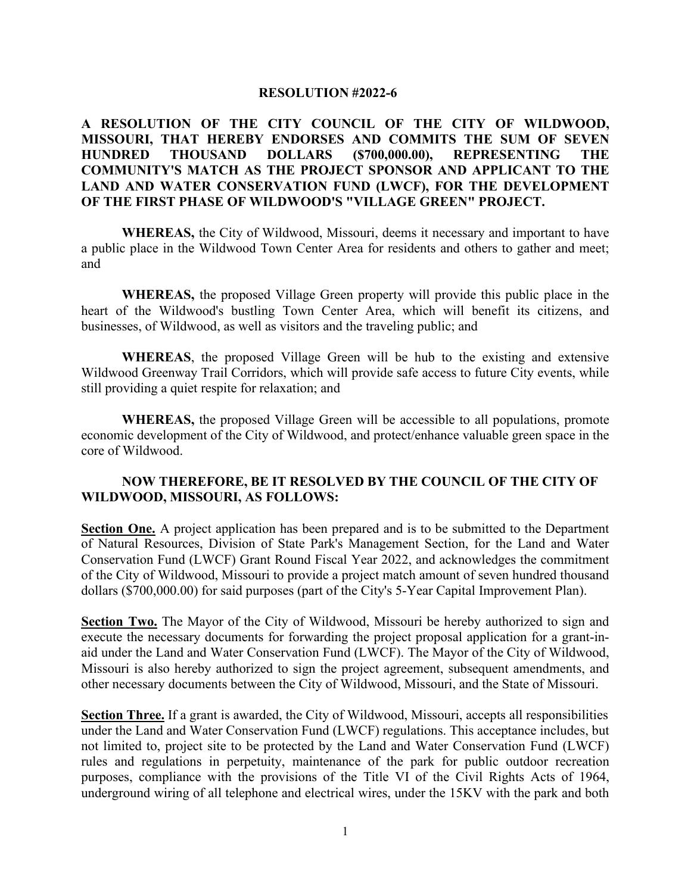## **RESOLUTION #2022-6**

## **A RESOLUTION OF THE CITY COUNCIL OF THE CITY OF WILDWOOD, MISSOURI, THAT HEREBY ENDORSES AND COMMITS THE SUM OF SEVEN HUNDRED THOUSAND DOLLARS (\$700,000.00), REPRESENTING THE COMMUNITY'S MATCH AS THE PROJECT SPONSOR AND APPLICANT TO THE LAND AND WATER CONSERVATION FUND (LWCF), FOR THE DEVELOPMENT OF THE FIRST PHASE OF WILDWOOD'S "VILLAGE GREEN" PROJECT.**

**WHEREAS,** the City of Wildwood, Missouri, deems it necessary and important to have a public place in the Wildwood Town Center Area for residents and others to gather and meet; and

**WHEREAS,** the proposed Village Green property will provide this public place in the heart of the Wildwood's bustling Town Center Area, which will benefit its citizens, and businesses, of Wildwood, as well as visitors and the traveling public; and

**WHEREAS**, the proposed Village Green will be hub to the existing and extensive Wildwood Greenway Trail Corridors, which will provide safe access to future City events, while still providing a quiet respite for relaxation; and

**WHEREAS,** the proposed Village Green will be accessible to all populations, promote economic development of the City of Wildwood, and protect/enhance valuable green space in the core of Wildwood.

## **NOW THEREFORE, BE IT RESOLVED BY THE COUNCIL OF THE CITY OF WILDWOOD, MISSOURI, AS FOLLOWS:**

**Section One.** A project application has been prepared and is to be submitted to the Department of Natural Resources, Division of State Park's Management Section, for the Land and Water Conservation Fund (LWCF) Grant Round Fiscal Year 2022, and acknowledges the commitment of the City of Wildwood, Missouri to provide a project match amount of seven hundred thousand dollars (\$700,000.00) for said purposes (part of the City's 5-Year Capital Improvement Plan).

**Section Two.** The Mayor of the City of Wildwood, Missouri be hereby authorized to sign and execute the necessary documents for forwarding the project proposal application for a grant-inaid under the Land and Water Conservation Fund (LWCF). The Mayor of the City of Wildwood, Missouri is also hereby authorized to sign the project agreement, subsequent amendments, and other necessary documents between the City of Wildwood, Missouri, and the State of Missouri.

**Section Three.** If a grant is awarded, the City of Wildwood, Missouri, accepts all responsibilities under the Land and Water Conservation Fund (LWCF) regulations. This acceptance includes, but not limited to, project site to be protected by the Land and Water Conservation Fund (LWCF) rules and regulations in perpetuity, maintenance of the park for public outdoor recreation purposes, compliance with the provisions of the Title VI of the Civil Rights Acts of 1964, underground wiring of all telephone and electrical wires, under the 15KV with the park and both